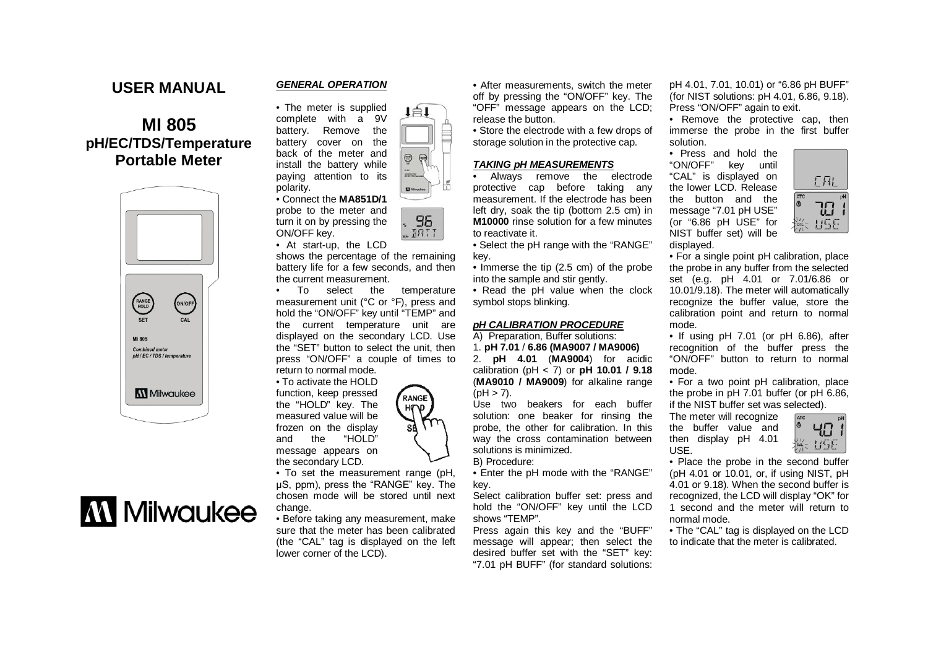### **USER MANUAL**

## **MI 805 pH/EC/TDS/Temperature Portable Meter**



# **MM** Milwaukee

#### *GENERAL OPERATION*



probe to the meter and turn it on by pressing the ON/OFF key.

polarity.

• At start-up, the LCD

shows the percentage of the remaining battery life for a few seconds, and then the current measurement.

• To select the temperature measurement unit (°C or °F), press and hold the "ON/OFF" key until "TEMP" and the current temperature unit are displayed on the secondary LCD. Use the "SET" button to select the unit, then press "ON/OFF" a couple of times to return to normal mode.

• To activate the HOLD function, keep pressed the "HOLD" key. The measured value will be frozen on the display<br>and the "HOLD" and the "HOLD" message appears on the secondary LCD.

• To set the measurement range (pH, μS, ppm), press the "RANGE" key. The chosen mode will be stored until next change.

• Before taking any measurement, make sure that the meter has been calibrated (the "CAL" tag is displayed on the left lower corner of the LCD).

• After measurements, switch the meter off by pressing the "ON/OFF" key. The "OFF" message appears on the LCD; release the button.

• Store the electrode with a few drops of storage solution in the protective cap.

#### *TAKING pH MEASUREMENTS*

• Always remove the electrode protective cap before taking any measurement. If the electrode has been left dry, soak the tip (bottom 2.5 cm) in **M10000** rinse solution for a few minutes to reactivate it.

• Select the pH range with the "RANGE" key.

• Immerse the tip (2.5 cm) of the probe into the sample and stir gently.

• Read the pH value when the clock symbol stops blinking.

#### *pH CALIBRATION PROCEDURE*

A) Preparation, Buffer solutions: 1. **pH 7.01** / **6.86 (MA9007 / MA9006)** 2. **pH 4.01** (**MA9004**) for acidic calibration (pH < 7) or **pH 10.01 / 9.18**  (**MA9010 / MA9009**) for alkaline range  $(hH > 7)$ .

Use two beakers for each buffer solution: one beaker for rinsing the probe, the other for calibration. In this way the cross contamination between solutions is minimized.

B) Procedure:

• Enter the pH mode with the "RANGE" key.

Select calibration buffer set: press and hold the "ON/OFF" key until the LCD shows "TEMP".

Press again this key and the "BUFF" message will appear; then select the desired buffer set with the "SET" key: "7.01 pH BUFF" (for standard solutions: pH 4.01, 7.01, 10.01) or "6.86 pH BUFF" (for NIST solutions: pH 4.01, 6.86, 9.18). Press "ON/OFF" again to exit.

• Remove the protective cap, then immerse the probe in the first buffer solution.

• Press and hold the "ON/OFF" key until "CAL" is displayed on the lower LCD. Release the button and the message "7.01 pH USE" (or "6.86 pH USE" for NIST buffer set) will be displayed.



• For a single point pH calibration, place the probe in any buffer from the selected set (e.g. pH 4.01 or 7.01/6.86 or 10.01/9.18). The meter will automatically recognize the buffer value, store the calibration point and return to normal mode.

• If using pH 7.01 (or pH 6.86), after recognition of the buffer press the "ON/OFF" button to return to normal mode.

• For a two point pH calibration, place the probe in pH 7.01 buffer (or pH 6.86, if the NIST buffer set was selected).

The meter will recognize the buffer value and then display pH 4.01 USE.



• Place the probe in the second buffer (pH 4.01 or 10.01, or, if using NIST, pH 4.01 or 9.18). When the second buffer is recognized, the LCD will display "OK" for 1 second and the meter will return to normal mode.

• The "CAL" tag is displayed on the LCD to indicate that the meter is calibrated.



96

 $-BRTT$